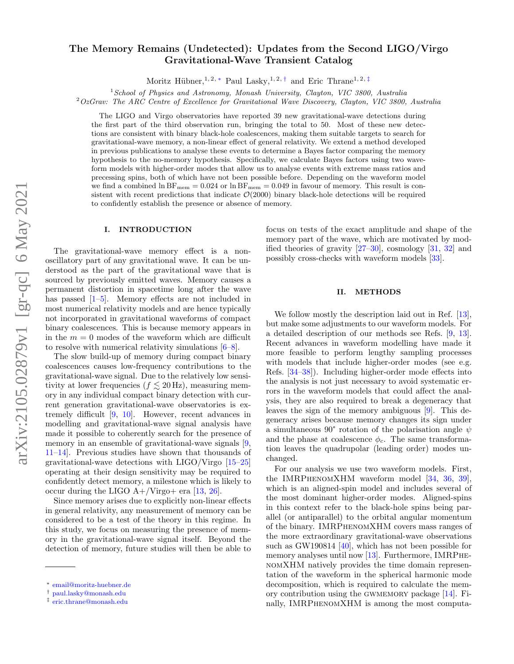# The Memory Remains (Undetected): Updates from the Second LIGO/Virgo Gravitational-Wave Transient Catalog

Moritz Hübner,<sup>1, 2, \*</sup> Paul Lasky,<sup>1, 2, [†](#page-0-1)</sup> and Eric Thrane<sup>1, 2, [‡](#page-0-2)</sup>

 $1$ School of Physics and Astronomy, Monash University, Clayton, VIC 3800, Australia

 $2OzGr$ av: The ARC Centre of Excellence for Gravitational Wave Discovery, Clayton, VIC 3800, Australia

The LIGO and Virgo observatories have reported 39 new gravitational-wave detections during the first part of the third observation run, bringing the total to 50. Most of these new detections are consistent with binary black-hole coalescences, making them suitable targets to search for gravitational-wave memory, a non-linear effect of general relativity. We extend a method developed in previous publications to analyse these events to determine a Bayes factor comparing the memory hypothesis to the no-memory hypothesis. Specifically, we calculate Bayes factors using two waveform models with higher-order modes that allow us to analyse events with extreme mass ratios and precessing spins, both of which have not been possible before. Depending on the waveform model we find a combined  $\ln BF_{\text{mem}} = 0.024$  or  $\ln BF_{\text{mem}} = 0.049$  in favour of memory. This result is consistent with recent predictions that indicate  $\mathcal{O}(2000)$  binary black-hole detections will be required to confidently establish the presence or absence of memory.

### I. INTRODUCTION

The gravitational-wave memory effect is a nonoscillatory part of any gravitational wave. It can be understood as the part of the gravitational wave that is sourced by previously emitted waves. Memory causes a permanent distortion in spacetime long after the wave has passed  $[1–5]$  $[1–5]$ . Memory effects are not included in most numerical relativity models and are hence typically not incorporated in gravitational waveforms of compact binary coalescences. This is because memory appears in in the  $m = 0$  modes of the waveform which are difficult to resolve with numerical relativity simulations [\[6](#page-4-2)[–8\]](#page-4-3).

The slow build-up of memory during compact binary coalescences causes low-frequency contributions to the gravitational-wave signal. Due to the relatively low sensitivity at lower frequencies ( $f \leq 20$  Hz), measuring memory in any individual compact binary detection with current generation gravitational-wave observatories is extremely difficult [\[9,](#page-4-4) [10\]](#page-4-5). However, recent advances in modelling and gravitational-wave signal analysis have made it possible to coherently search for the presence of memory in an ensemble of gravitational-wave signals  $[9,$ [11–](#page-4-6)[14\]](#page-4-7). Previous studies have shown that thousands of gravitational-wave detections with LIGO/Virgo [\[15](#page-4-8)[–25\]](#page-4-9) operating at their design sensitivity may be required to confidently detect memory, a milestone which is likely to occur during the LIGO  $A+$ /Virgo+ era [\[13,](#page-4-10) [26\]](#page-4-11).

Since memory arises due to explicitly non-linear effects in general relativity, any measurement of memory can be considered to be a test of the theory in this regime. In this study, we focus on measuring the presence of memory in the gravitational-wave signal itself. Beyond the detection of memory, future studies will then be able to

focus on tests of the exact amplitude and shape of the memory part of the wave, which are motivated by modified theories of gravity  $[27-30]$  $[27-30]$ , cosmology  $[31, 32]$  $[31, 32]$  $[31, 32]$  and possibly cross-checks with waveform models [\[33\]](#page-4-16).

#### II. METHODS

We follow mostly the description laid out in Ref. [\[13\]](#page-4-10), but make some adjustments to our waveform models. For a detailed description of our methods see Refs. [\[9,](#page-4-4) [13\]](#page-4-10). Recent advances in waveform modelling have made it more feasible to perform lengthy sampling processes with models that include higher-order modes (see e.g. Refs. [\[34](#page-4-17)[–38\]](#page-4-18)). Including higher-order mode effects into the analysis is not just necessary to avoid systematic errors in the waveform models that could affect the analysis, they are also required to break a degeneracy that leaves the sign of the memory ambiguous [\[9\]](#page-4-4). This degeneracy arises because memory changes its sign under a simultaneous 90° rotation of the polarisation angle  $\psi$ and the phase at coalescence  $\phi_c$ . The same transformation leaves the quadrupolar (leading order) modes unchanged.

For our analysis we use two waveform models. First, the IMRPhenomXHM waveform model [\[34,](#page-4-17) [36,](#page-4-19) [39\]](#page-4-20), which is an aligned-spin model and includes several of the most dominant higher-order modes. Aligned-spins in this context refer to the black-hole spins being parallel (or antiparallel) to the orbital angular momentum of the binary. IMRPhenomXHM covers mass ranges of the more extraordinary gravitational-wave observations such as GW190814 [\[40\]](#page-4-21), which has not been possible for memory analyses until now  $[13]$ . Furthermore, IMRPHEnomXHM natively provides the time domain representation of the waveform in the spherical harmonic mode decomposition, which is required to calculate the memory contribution using the gwmemory package [\[14\]](#page-4-7). Finally, IMRPhenomXHM is among the most computa-

<span id="page-0-0"></span><sup>∗</sup> [email@moritz-huebner.de](mailto:email@moritz-huebner.de)

<span id="page-0-1"></span><sup>†</sup> [paul.lasky@monash.edu](mailto:paul.lasky@monash.edu)

<span id="page-0-2"></span><sup>‡</sup> [eric.thrane@monash.edu](mailto:eric.thrane@monash.edu)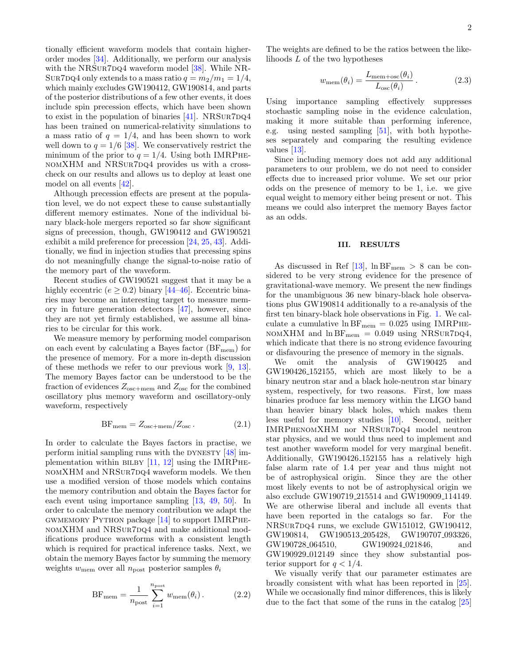tionally efficient waveform models that contain higherorder modes [\[34\]](#page-4-17). Additionally, we perform our analysis with the NRSUR7DQ4 waveform model  $[38]$ . While NR-SUR7DQ4 only extends to a mass ratio  $q = m_2/m_1 = 1/4$ , which mainly excludes GW190412, GW190814, and parts of the posterior distributions of a few other events, it does include spin precession effects, which have been shown to exist in the population of binaries  $[41]$ . NRSUR7DQ4 has been trained on numerical-relativity simulations to a mass ratio of  $q = 1/4$ , and has been shown to work well down to  $q = 1/6$  [\[38\]](#page-4-18). We conservatively restrict the minimum of the prior to  $q = 1/4$ . Using both IMRPHEnomXHM and NRSur7dq4 provides us with a crosscheck on our results and allows us to deploy at least one model on all events [\[42\]](#page-4-23).

Although precession effects are present at the population level, we do not expect these to cause substantially different memory estimates. None of the individual binary black-hole mergers reported so far show significant signs of precession, though, GW190412 and GW190521 exhibit a mild preference for precession [\[24,](#page-4-24) [25,](#page-4-9) [43\]](#page-5-0). Additionally, we find in injection studies that precessing spins do not meaningfully change the signal-to-noise ratio of the memory part of the waveform.

Recent studies of GW190521 suggest that it may be a highly eccentric ( $e \geq 0.2$ ) binary [\[44](#page-5-1)[–46\]](#page-5-2). Eccentric binaries may become an interesting target to measure memory in future generation detectors [\[47\]](#page-5-3), however, since they are not yet firmly established, we assume all binaries to be circular for this work.

We measure memory by performing model comparison on each event by calculating a Bayes factor  $(BF_{mem})$  for the presence of memory. For a more in-depth discussion of these methods we refer to our previous work [\[9,](#page-4-4) [13\]](#page-4-10). The memory Bayes factor can be understood to be the fraction of evidences  $Z_{\text{osc+mem}}$  and  $Z_{\text{osc}}$  for the combined oscillatory plus memory waveform and oscillatory-only waveform, respectively

$$
BF_{\text{mem}} = Z_{\text{osc}+\text{mem}}/Z_{\text{osc}}.
$$
 (2.1)

In order to calculate the Bayes factors in practise, we perform initial sampling runs with the DYNESTY  $[48]$  implementation within BILBY  $[11, 12]$  $[11, 12]$  $[11, 12]$  using the IMRPHE-NOMXHM and NRSUR7DQ4 waveform models. We then use a modified version of those models which contains the memory contribution and obtain the Bayes factor for each event using importance sampling [\[13,](#page-4-10) [49,](#page-5-5) [50\]](#page-5-6). In order to calculate the memory contribution we adapt the GWMEMORY PYTHON package  $[14]$  to support IMRPHEnomXHM and NRSur7dq4 and make additional modifications produce waveforms with a consistent length which is required for practical inference tasks. Next, we obtain the memory Bayes factor by summing the memory weights  $w_{\text{mem}}$  over all  $n_{\text{post}}$  posterior samples  $\theta_i$ 

$$
\text{BF}_{\text{mem}} = \frac{1}{n_{\text{post}}} \sum_{i=1}^{n_{\text{post}}} w_{\text{mem}}(\theta_i). \tag{2.2}
$$

The weights are defined to be the ratios between the likelihoods L of the two hypotheses

$$
w_{\text{mem}}(\theta_i) = \frac{L_{\text{mem} + \text{osc}}(\theta_i)}{L_{\text{osc}}(\theta_i)}.
$$
 (2.3)

Using importance sampling effectively suppresses stochastic sampling noise in the evidence calculation, making it more suitable than performing inference, e.g. using nested sampling  $[51]$ , with both hypotheses separately and comparing the resulting evidence values [\[13\]](#page-4-10).

Since including memory does not add any additional parameters to our problem, we do not need to consider effects due to increased prior volume. We set our prior odds on the presence of memory to be 1, i.e. we give equal weight to memory either being present or not. This means we could also interpret the memory Bayes factor as an odds.

## III. RESULTS

As discussed in Ref  $[13]$ ,  $\ln BF_{\text{mem}} > 8$  can be considered to be very strong evidence for the presence of gravitational-wave memory. We present the new findings for the unambiguous 36 new binary-black hole observations plus GW190814 additionally to a re-analysis of the first ten binary-black hole observations in Fig. [1.](#page-2-0) We calculate a cumulative  $\ln BF_{\text{mem}} = 0.025$  using IMRPHE-NOMXHM and  $\ln BF_{\text{mem}} = 0.049$  using NRSUR7DQ4, which indicate that there is no strong evidence favouring or disfavouring the presence of memory in the signals.

We omit the analysis of GW190425 and GW190426 152155, which are most likely to be a binary neutron star and a black hole-neutron star binary system, respectively, for two reasons. First, low mass binaries produce far less memory within the LIGO band than heavier binary black holes, which makes them less useful for memory studies [\[10\]](#page-4-5). Second, neither IMRPhenomXHM nor NRSur7dq4 model neutron star physics, and we would thus need to implement and test another waveform model for very marginal benefit. Additionally, GW190426 152155 has a relatively high false alarm rate of 1.4 per year and thus might not be of astrophysical origin. Since they are the other most likely events to not be of astrophysical origin we also exclude GW190719 215514 and GW190909 114149. We are otherwise liberal and include all events that have been reported in the catalogs so far. For the NRSur7dq4 runs, we exclude GW151012, GW190412, GW190814, GW190513 205428, GW190707 093326, GW190728<sub>-064510</sub>, GW190924<sub>-0</sub>21846, and GW190929 012149 since they show substantial posterior support for  $q < 1/4$ .

We visually verify that our parameter estimates are broadly consistent with what has been reported in [\[25\]](#page-4-9). While we occasionally find minor differences, this is likely due to the fact that some of the runs in the catalog [\[25\]](#page-4-9)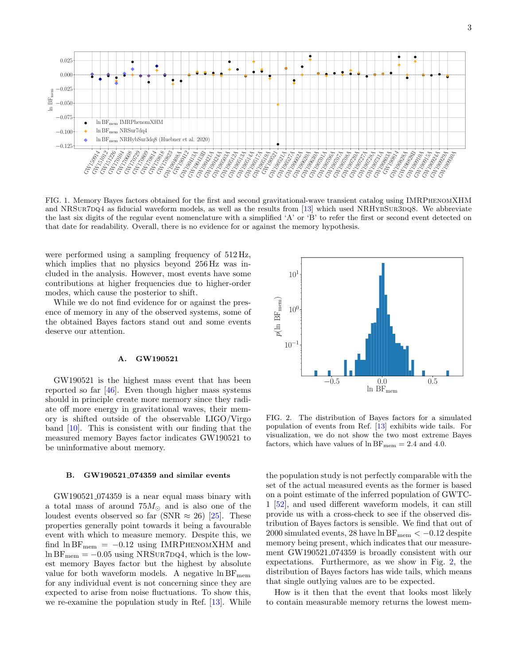

<span id="page-2-0"></span>FIG. 1. Memory Bayes factors obtained for the first and second gravitational-wave transient catalog using IMRPhenomXHM and NRSUR7DQ4 as fiducial waveform models, as well as the results from [\[13\]](#page-4-10) which used NRHYBSUR3DQ8. We abbreviate the last six digits of the regular event nomenclature with a simplified 'A' or 'B' to refer the first or second event detected on that date for readability. Overall, there is no evidence for or against the memory hypothesis.

were performed using a sampling frequency of 512 Hz, which implies that no physics beyond 256 Hz was included in the analysis. However, most events have some contributions at higher frequencies due to higher-order modes, which cause the posterior to shift.

While we do not find evidence for or against the presence of memory in any of the observed systems, some of the obtained Bayes factors stand out and some events deserve our attention.

### A. GW190521

GW190521 is the highest mass event that has been reported so far [\[46\]](#page-5-2). Even though higher mass systems should in principle create more memory since they radiate off more energy in gravitational waves, their memory is shifted outside of the observable LIGO/Virgo band [\[10\]](#page-4-5). This is consistent with our finding that the measured memory Bayes factor indicates GW190521 to be uninformative about memory.

#### B. GW190521 074359 and similar events

GW190521 074359 is a near equal mass binary with a total mass of around  $75M_{\odot}$  and is also one of the loudest events observed so far (SNR  $\approx 26$ ) [\[25\]](#page-4-9). These properties generally point towards it being a favourable event with which to measure memory. Despite this, we find  $\ln BF_{\text{mem}} = -0.12$  using IMRPHENOMXHM and  $\ln BF_{\text{mem}} = -0.05$  using NRSUR7DQ4, which is the lowest memory Bayes factor but the highest by absolute value for both waveform models. A negative  $\ln BF_{\text{mem}}$ for any individual event is not concerning since they are expected to arise from noise fluctuations. To show this, we re-examine the population study in Ref. [\[13\]](#page-4-10). While



<span id="page-2-1"></span>FIG. 2. The distribution of Bayes factors for a simulated population of events from Ref. [\[13\]](#page-4-10) exhibits wide tails. For visualization, we do not show the two most extreme Bayes factors, which have values of  $\ln BF_{\text{mem}} = 2.4$  and 4.0.

the population study is not perfectly comparable with the set of the actual measured events as the former is based on a point estimate of the inferred population of GWTC-1 [\[52\]](#page-5-8), and used different waveform models, it can still provide us with a cross-check to see if the observed distribution of Bayes factors is sensible. We find that out of 2000 simulated events, 28 have  $\ln BF_{\text{mem}} < -0.12$  despite memory being present, which indicates that our measurement GW190521 074359 is broadly consistent with our expectations. Furthermore, as we show in Fig. [2,](#page-2-1) the distribution of Bayes factors has wide tails, which means that single outlying values are to be expected.

How is it then that the event that looks most likely to contain measurable memory returns the lowest mem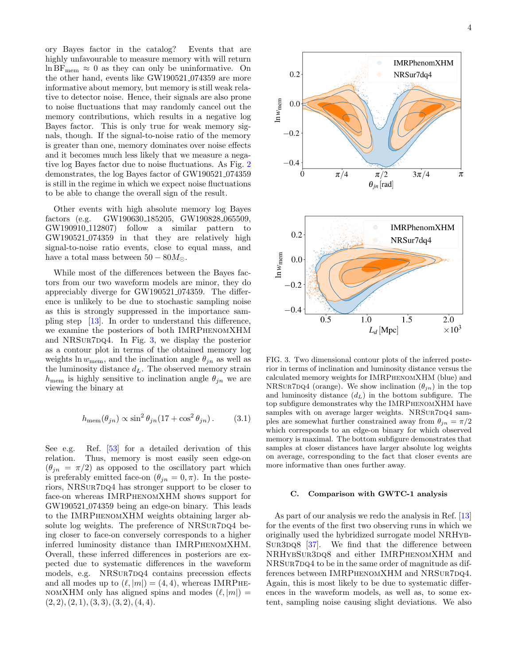ory Bayes factor in the catalog? Events that are highly unfavourable to measure memory with will return  $\ln BF_{\text{mem}} \approx 0$  as they can only be uninformative. On the other hand, events like GW190521 074359 are more informative about memory, but memory is still weak relative to detector noise. Hence, their signals are also prone to noise fluctuations that may randomly cancel out the memory contributions, which results in a negative log Bayes factor. This is only true for weak memory signals, though. If the signal-to-noise ratio of the memory is greater than one, memory dominates over noise effects and it becomes much less likely that we measure a negative log Bayes factor due to noise fluctuations. As Fig. [2](#page-2-1) demonstrates, the log Bayes factor of GW190521 074359 is still in the regime in which we expect noise fluctuations to be able to change the overall sign of the result.

Other events with high absolute memory log Bayes factors (e.g. GW190630 185205, GW190828 065509, GW190910 112807) follow a similar pattern to GW190521 074359 in that they are relatively high signal-to-noise ratio events, close to equal mass, and have a total mass between  $50 - 80M_{\odot}$ .

While most of the differences between the Bayes factors from our two waveform models are minor, they do appreciably diverge for GW190521 074359. The difference is unlikely to be due to stochastic sampling noise as this is strongly suppressed in the importance sampling step [\[13\]](#page-4-10). In order to understand this difference, we examine the posteriors of both IMRPhenomXHM and NRSUR7DQ4. In Fig.  $3$ , we display the posterior as a contour plot in terms of the obtained memory log weights ln  $w_{\text{mem}}$ , and the inclination angle  $\theta_{jn}$  as well as the luminosity distance  $d_L$ . The observed memory strain  $h_{\text{mem}}$  is highly sensitive to inclination angle  $\theta_{in}$  we are viewing the binary at

$$
h_{\text{mem}}(\theta_{jn}) \propto \sin^2 \theta_{jn} (17 + \cos^2 \theta_{jn}). \tag{3.1}
$$

See e.g. Ref. [\[53\]](#page-5-9) for a detailed derivation of this relation. Thus, memory is most easily seen edge-on  $(\theta_{jn} = \pi/2)$  as opposed to the oscillatory part which is preferably emitted face-on  $(\theta_{jn} = 0, \pi)$ . In the posteriors, NRSUR7DQ4 has stronger support to be closer to face-on whereas IMRPhenomXHM shows support for GW190521 074359 being an edge-on binary. This leads to the IMRPhenomXHM weights obtaining larger absolute log weights. The preference of NRSUR7DQ4 being closer to face-on conversely corresponds to a higher inferred luminosity distance than IMRPhenomXHM. Overall, these inferred differences in posteriors are expected due to systematic differences in the waveform models, e.g. NRSUR7DQ4 contains precession effects and all modes up to  $(\ell, |m|) = (4, 4)$ , whereas IMRPHE-NOMXHM only has aligned spins and modes  $(\ell, |m|)$  =  $(2, 2), (2, 1), (3, 3), (3, 2), (4, 4).$ 



<span id="page-3-0"></span>FIG. 3. Two dimensional contour plots of the inferred posterior in terms of inclination and luminosity distance versus the calculated memory weights for IMRPhenomXHM (blue) and NRSUR7DQ4 (orange). We show inclination  $(\theta_{jn})$  in the top and luminosity distance  $(d_L)$  in the bottom subfigure. The top subfigure demonstrates why the IMRPhenomXHM have samples with on average larger weights. NRSUR7DQ4 samples are somewhat further constrained away from  $\theta_{in} = \pi/2$ which corresponds to an edge-on binary for which observed memory is maximal. The bottom subfigure demonstrates that samples at closer distances have larger absolute log weights on average, corresponding to the fact that closer events are more informative than ones further away.

### C. Comparison with GWTC-1 analysis

As part of our analysis we redo the analysis in Ref. [\[13\]](#page-4-10) for the events of the first two observing runs in which we originally used the hybridized surrogate model NRHyb-SUR3DQ8  $[37]$ . We find that the difference between NRHybSur3dq8 and either IMRPhenomXHM and NRSUR7DQ4 to be in the same order of magnitude as differences between IMRPHENOMXHM and NRSUR7DQ4. Again, this is most likely to be due to systematic differences in the waveform models, as well as, to some extent, sampling noise causing slight deviations. We also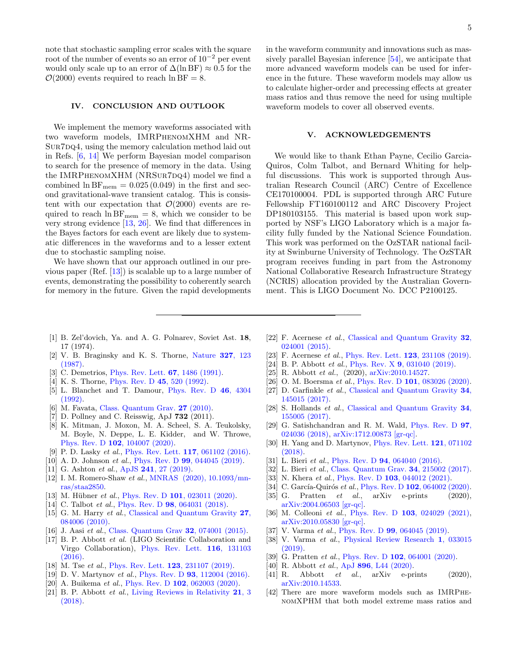note that stochastic sampling error scales with the square root of the number of events so an error of  $10^{-2}$  per event would only scale up to an error of  $\Delta(\ln BF) \approx 0.5$  for the  $\mathcal{O}(2000)$  events required to reach ln BF = 8.

## IV. CONCLUSION AND OUTLOOK

We implement the memory waveforms associated with two waveform models, IMRPhenomXHM and NR-SUR7DQ4, using the memory calculation method laid out in Refs. [\[6,](#page-4-2) [14\]](#page-4-7) We perform Bayesian model comparison to search for the presence of memory in the data. Using the IMRPHENOMXHM (NRSUR7DQ4) model we find a combined  $\ln BF_{\text{mem}} = 0.025(0.049)$  in the first and second gravitational-wave transient catalog. This is consistent with our expectation that  $\mathcal{O}(2000)$  events are required to reach  $\ln BF_{\text{mem}} = 8$ , which we consider to be very strong evidence [\[13,](#page-4-10) [26\]](#page-4-11). We find that differences in the Bayes factors for each event are likely due to systematic differences in the waveforms and to a lesser extent due to stochastic sampling noise.

We have shown that our approach outlined in our previous paper (Ref. [\[13\]](#page-4-10)) is scalable up to a large number of events, demonstrating the possibility to coherently search for memory in the future. Given the rapid developments

in the waveform community and innovations such as massively parallel Bayesian inference [\[54\]](#page-5-10), we anticipate that more advanced waveform models can be used for inference in the future. These waveform models may allow us to calculate higher-order and precessing effects at greater mass ratios and thus remove the need for using multiple waveform models to cover all observed events.

### V. ACKNOWLEDGEMENTS

We would like to thank Ethan Payne, Cecilio Garcia-Quiros, Colm Talbot, and Bernard Whiting for helpful discussions. This work is supported through Australian Research Council (ARC) Centre of Excellence CE170100004. PDL is supported through ARC Future Fellowship FT160100112 and ARC Discovery Project DP180103155. This material is based upon work supported by NSF's LIGO Laboratory which is a major facility fully funded by the National Science Foundation. This work was performed on the OzSTAR national facility at Swinburne University of Technology. The OzSTAR program receives funding in part from the Astronomy National Collaborative Research Infrastructure Strategy (NCRIS) allocation provided by the Australian Government. This is LIGO Document No. DCC P2100125.

- <span id="page-4-0"></span>[1] B. Zel'dovich, Ya. and A. G. Polnarev, Soviet Ast. 18, 17 (1974).
- [2] V. B. Braginsky and K. S. Thorne, [Nature](http://dx.doi.org/10.1038/327123a0) 327, 123 [\(1987\).](http://dx.doi.org/10.1038/327123a0)
- [3] C. Demetrios, [Phys. Rev. Lett.](http://dx.doi.org/10.1103/PhysRevLett.67.1486) 67, 1486 (1991).
- [4] K. S. Thorne, [Phys. Rev. D](http://dx.doi.org/10.1103/PhysRevD.45.520) 45, 520 (1992).
- <span id="page-4-1"></span>[5] L. Blanchet and T. Damour, [Phys. Rev. D](http://dx.doi.org/10.1103/PhysRevD.46.4304) 46, 4304 [\(1992\).](http://dx.doi.org/10.1103/PhysRevD.46.4304)
- <span id="page-4-2"></span>[6] M. Favata, [Class. Quantum Grav.](https://doi.org/10.1088%2F0264-9381%2F27%2F8%2F084036) 27 (2010).
- [7] D. Pollney and C. Reisswig, ApJ **732** (2011).
- <span id="page-4-3"></span>[8] K. Mitman, J. Moxon, M. A. Scheel, S. A. Teukolsky, M. Boyle, N. Deppe, L. E. Kidder, and W. Throwe, Phys. Rev. D 102[, 104007 \(2020\).](http://dx.doi.org/10.1103/PhysRevD.102.104007)
- <span id="page-4-4"></span>[9] P. D. Lasky et al., [Phys. Rev. Lett.](http://dx.doi.org/10.1103/PhysRevLett.117.061102) **117**, 061102 (2016).
- <span id="page-4-5"></span>[10] A. D. Johnson *et al.*, *Phys. Rev. D* **99**[, 044045 \(2019\).](http://dx.doi.org/10.1103/PhysRevD.99.044045)
- <span id="page-4-6"></span>[11] G. Ashton et al., ApJS **241**[, 27 \(2019\).](http://dx.doi.org/10.3847/1538-4365/ab06fc)
- <span id="page-4-25"></span>[12] I. M. Romero-Shaw et al., [MNRAS \(2020\), 10.1093/mn](http://dx.doi.org/10.1093/mnras/staa2850)[ras/staa2850.](http://dx.doi.org/10.1093/mnras/staa2850)
- <span id="page-4-10"></span>[13] M. Hübner et al., Phys. Rev. D 101[, 023011 \(2020\).](http://dx.doi.org/ 10.1103/PhysRevD.101.023011)
- <span id="page-4-7"></span>[14] C. Talbot *et al.*, Phys. Rev. D **98**[, 064031 \(2018\).](http://dx.doi.org/10.1103/PhysRevD.98.064031)
- <span id="page-4-8"></span>[15] G. M. Harry *et al.*, [Classical and Quantum Gravity](http://dx.doi.org/10.1088/0264-9381/27/8/084006) 27, [084006 \(2010\).](http://dx.doi.org/10.1088/0264-9381/27/8/084006)
- [16] J. Aasi et al., [Class. Quantum Grav](http://dx.doi.org/10.1088/0264-9381/32/7/074001) **32**, 074001 (2015).
- [17] B. P. Abbott et al. (LIGO Scientific Collaboration and Virgo Collaboration), [Phys. Rev. Lett.](http://dx.doi.org/ 10.1103/PhysRevLett.116.131103) 116, 131103 [\(2016\).](http://dx.doi.org/ 10.1103/PhysRevLett.116.131103)
- [18] M. Tse et al., [Phys. Rev. Lett.](http://dx.doi.org/10.1103/PhysRevLett.123.231107) **123**, 231107 (2019).
- [19] D. V. Martynov et al., Phys. Rev. D **93**[, 112004 \(2016\).](http://dx.doi.org/10.1103/PhysRevD.93.112004)
- [20] A. Buikema *et al.*, Phys. Rev. D **102**[, 062003 \(2020\).](http://dx.doi.org/10.1103/PhysRevD.102.062003)
- [21] B. P. Abbott et al., [Living Reviews in Relativity](http://dx.doi.org/10.1007/s41114-018-0012-9) 21, 3 [\(2018\).](http://dx.doi.org/10.1007/s41114-018-0012-9)
- [22] F. Acernese et al., [Classical and Quantum Gravity](http://dx.doi.org/ 10.1088/0264-9381/32/2/024001) 32, [024001 \(2015\).](http://dx.doi.org/ 10.1088/0264-9381/32/2/024001)
- [23] F. Acernese et al., [Phys. Rev. Lett.](http://dx.doi.org/10.1103/PhysRevLett.123.231108) **123**, 231108 (2019).
- <span id="page-4-24"></span>[24] B. P. Abbott *et al.*, *Phys. Rev. X* **9**[, 031040 \(2019\).](http://dx.doi.org/10.1103/PhysRevX.9.031040)
- <span id="page-4-9"></span>[25] R. Abbott et al., (2020),  $\arXiv:2010.14527$ .
- <span id="page-4-11"></span>[26] O. M. Boersma et al., Phys. Rev. D 101[, 083026 \(2020\).](http://dx.doi.org/10.1103/PhysRevD.101.083026)
- <span id="page-4-12"></span>[27] D. Garfinkle et al., [Classical and Quantum Gravity](http://dx.doi.org/10.1088/1361-6382/aa777b) 34, [145015 \(2017\).](http://dx.doi.org/10.1088/1361-6382/aa777b)
- [28] S. Hollands et al., [Classical and Quantum Gravity](http://dx.doi.org/10.1088/1361-6382/aa777a) 34, [155005 \(2017\).](http://dx.doi.org/10.1088/1361-6382/aa777a)
- [29] G. Satishchandran and R. M. Wald, [Phys. Rev. D](http://dx.doi.org/10.1103/PhysRevD.97.024036) 97, [024036 \(2018\),](http://dx.doi.org/10.1103/PhysRevD.97.024036) [arXiv:1712.00873 \[gr-qc\].](http://arxiv.org/abs/1712.00873)
- <span id="page-4-13"></span>[30] H. Yang and D. Martynov, [Phys. Rev. Lett.](http://dx.doi.org/10.1103/PhysRevLett.121.071102) 121, 071102 [\(2018\).](http://dx.doi.org/10.1103/PhysRevLett.121.071102)
- <span id="page-4-14"></span>[31] L. Bieri et al., Phys. Rev. D **94**[, 064040 \(2016\).](http://dx.doi.org/10.1103/PhysRevD.94.064040)
- <span id="page-4-15"></span>[32] L. Bieri et al., [Class. Quantum Grav.](http://dx.doi.org/10.1088/1361-6382/aa8b52) **34**, 215002 (2017).
- <span id="page-4-16"></span>[33] N. Khera *et al.*, Phys. Rev. D **103**[, 044012 \(2021\).](http://dx.doi.org/10.1103/PhysRevD.103.044012)
- <span id="page-4-17"></span>[34] C. García-Quirós et al., Phys. Rev. D 102[, 064002 \(2020\).](http://dx.doi.org/ 10.1103/PhysRevD.102.064002)
- <span id="page-4-27"></span>[35] G. Pratten  $et \ al., \arXiv \ e-prints$  (2020), [arXiv:2004.06503 \[gr-qc\].](http://arxiv.org/abs/2004.06503)
- <span id="page-4-19"></span>[36] M. Colleoni *et al.*, Phys. Rev. D **103**[, 024029 \(2021\),](http://dx.doi.org/10.1103/PhysRevD.103.024029) [arXiv:2010.05830 \[gr-qc\].](http://arxiv.org/abs/2010.05830)
- <span id="page-4-26"></span>[37] V. Varma et al., Phys. Rev. D **99**[, 064045 \(2019\).](http://dx.doi.org/10.1103/PhysRevD.99.064045)
- <span id="page-4-18"></span>[38] V. Varma et al., [Physical Review Research](http://dx.doi.org/ 10.1103/PhysRevResearch.1.033015) 1, 033015 [\(2019\).](http://dx.doi.org/ 10.1103/PhysRevResearch.1.033015)
- <span id="page-4-20"></span>[39] G. Pratten *et al.*, Phys. Rev. D **102**[, 064001 \(2020\).](http://dx.doi.org/10.1103/PhysRevD.102.064001)
- <span id="page-4-21"></span>[40] R. Abbott et al., ApJ 896[, L44 \(2020\).](http://dx.doi.org/10.3847/2041-8213/ab960f)
- <span id="page-4-22"></span>[41] R. Abbott  $et \ al., \arXiv \ e-prints$  (2020), [arXiv:2010.14533.](http://arxiv.org/abs/2010.14533)
- <span id="page-4-23"></span>[42] There are more waveform models such as IMRPhenomXPHM that both model extreme mass ratios and